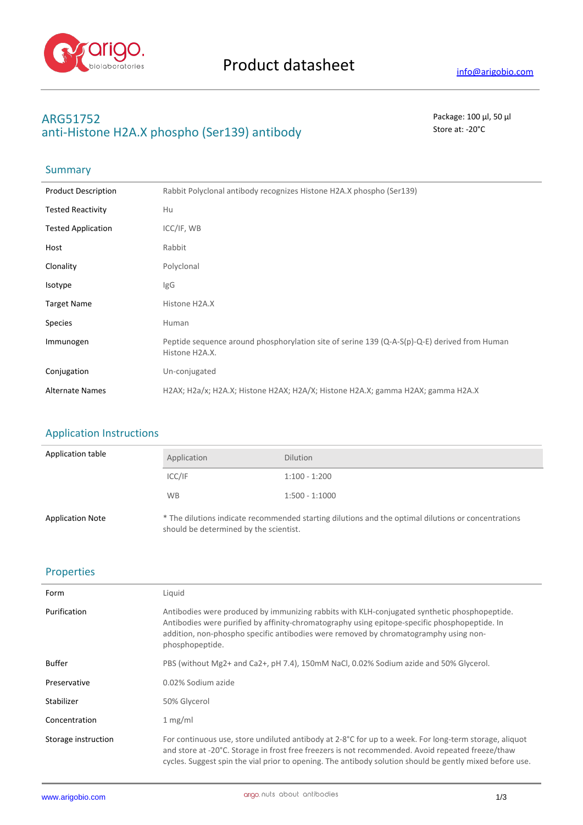

# **ARG51752** Package: 100 μl, 50 μl anti-Histone H2A.X phospho (Ser139) antibody store at: -20<sup>°</sup>C

# **Summary**

| <b>Product Description</b> | Rabbit Polyclonal antibody recognizes Histone H2A.X phospho (Ser139)                                           |
|----------------------------|----------------------------------------------------------------------------------------------------------------|
| <b>Tested Reactivity</b>   | Hu                                                                                                             |
| <b>Tested Application</b>  | ICC/IF, WB                                                                                                     |
| Host                       | Rabbit                                                                                                         |
| Clonality                  | Polyclonal                                                                                                     |
| Isotype                    | lgG                                                                                                            |
| <b>Target Name</b>         | Histone H2A.X                                                                                                  |
| <b>Species</b>             | Human                                                                                                          |
| Immunogen                  | Peptide sequence around phosphorylation site of serine 139 (Q-A-S(p)-Q-E) derived from Human<br>Histone H2A.X. |
| Conjugation                | Un-conjugated                                                                                                  |
| <b>Alternate Names</b>     | H2AX; H2a/x; H2A.X; Histone H2AX; H2A/X; Histone H2A.X; gamma H2AX; gamma H2A.X                                |

### Application Instructions

| Application table       | Application                            | <b>Dilution</b>                                                                                     |
|-------------------------|----------------------------------------|-----------------------------------------------------------------------------------------------------|
|                         | ICC/IF                                 | $1:100 - 1:200$                                                                                     |
|                         | <b>WB</b>                              | $1:500 - 1:1000$                                                                                    |
| <b>Application Note</b> | should be determined by the scientist. | * The dilutions indicate recommended starting dilutions and the optimal dilutions or concentrations |

### Properties

| Form                | Liquid                                                                                                                                                                                                                                                                                                                  |
|---------------------|-------------------------------------------------------------------------------------------------------------------------------------------------------------------------------------------------------------------------------------------------------------------------------------------------------------------------|
| Purification        | Antibodies were produced by immunizing rabbits with KLH-conjugated synthetic phosphopeptide.<br>Antibodies were purified by affinity-chromatography using epitope-specific phosphopeptide. In<br>addition, non-phospho specific antibodies were removed by chromatogramphy using non-<br>phosphopeptide.                |
| <b>Buffer</b>       | PBS (without Mg2+ and Ca2+, pH 7.4), 150mM NaCl, 0.02% Sodium azide and 50% Glycerol.                                                                                                                                                                                                                                   |
| Preservative        | 0.02% Sodium azide                                                                                                                                                                                                                                                                                                      |
| Stabilizer          | 50% Glycerol                                                                                                                                                                                                                                                                                                            |
| Concentration       | 1 mg/ml                                                                                                                                                                                                                                                                                                                 |
| Storage instruction | For continuous use, store undiluted antibody at 2-8°C for up to a week. For long-term storage, aliquot<br>and store at -20°C. Storage in frost free freezers is not recommended. Avoid repeated freeze/thaw<br>cycles. Suggest spin the vial prior to opening. The antibody solution should be gently mixed before use. |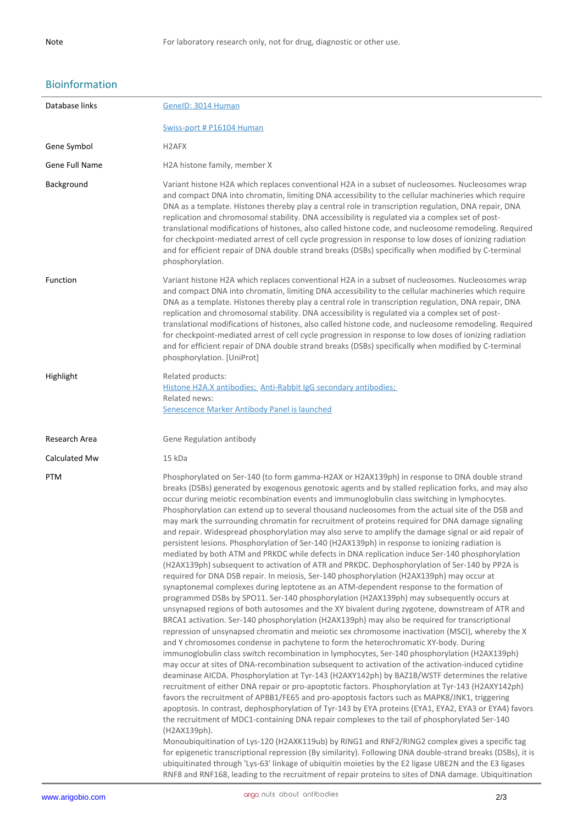## Bioinformation

| Database links | GenelD: 3014 Human                                                                                                                                                                                                                                                                                                                                                                                                                                                                                                                                                                                                                                                                                                                                                                                                                                                                                                                                                                                                                                                                                                                                                                                                                                                                                                                                                                                                                                                                                                                                                                                                                                                                                                                                                                                                                                                                                                                                                                                                                                                                                                                                                                                                                                                                                                                                                                                                                                                                                                                                                                                                                                                                                                                                                                                |
|----------------|---------------------------------------------------------------------------------------------------------------------------------------------------------------------------------------------------------------------------------------------------------------------------------------------------------------------------------------------------------------------------------------------------------------------------------------------------------------------------------------------------------------------------------------------------------------------------------------------------------------------------------------------------------------------------------------------------------------------------------------------------------------------------------------------------------------------------------------------------------------------------------------------------------------------------------------------------------------------------------------------------------------------------------------------------------------------------------------------------------------------------------------------------------------------------------------------------------------------------------------------------------------------------------------------------------------------------------------------------------------------------------------------------------------------------------------------------------------------------------------------------------------------------------------------------------------------------------------------------------------------------------------------------------------------------------------------------------------------------------------------------------------------------------------------------------------------------------------------------------------------------------------------------------------------------------------------------------------------------------------------------------------------------------------------------------------------------------------------------------------------------------------------------------------------------------------------------------------------------------------------------------------------------------------------------------------------------------------------------------------------------------------------------------------------------------------------------------------------------------------------------------------------------------------------------------------------------------------------------------------------------------------------------------------------------------------------------------------------------------------------------------------------------------------------------|
|                | Swiss-port # P16104 Human                                                                                                                                                                                                                                                                                                                                                                                                                                                                                                                                                                                                                                                                                                                                                                                                                                                                                                                                                                                                                                                                                                                                                                                                                                                                                                                                                                                                                                                                                                                                                                                                                                                                                                                                                                                                                                                                                                                                                                                                                                                                                                                                                                                                                                                                                                                                                                                                                                                                                                                                                                                                                                                                                                                                                                         |
| Gene Symbol    | H <sub>2</sub> AFX                                                                                                                                                                                                                                                                                                                                                                                                                                                                                                                                                                                                                                                                                                                                                                                                                                                                                                                                                                                                                                                                                                                                                                                                                                                                                                                                                                                                                                                                                                                                                                                                                                                                                                                                                                                                                                                                                                                                                                                                                                                                                                                                                                                                                                                                                                                                                                                                                                                                                                                                                                                                                                                                                                                                                                                |
| Gene Full Name | H2A histone family, member X                                                                                                                                                                                                                                                                                                                                                                                                                                                                                                                                                                                                                                                                                                                                                                                                                                                                                                                                                                                                                                                                                                                                                                                                                                                                                                                                                                                                                                                                                                                                                                                                                                                                                                                                                                                                                                                                                                                                                                                                                                                                                                                                                                                                                                                                                                                                                                                                                                                                                                                                                                                                                                                                                                                                                                      |
| Background     | Variant histone H2A which replaces conventional H2A in a subset of nucleosomes. Nucleosomes wrap<br>and compact DNA into chromatin, limiting DNA accessibility to the cellular machineries which require<br>DNA as a template. Histones thereby play a central role in transcription regulation, DNA repair, DNA<br>replication and chromosomal stability. DNA accessibility is regulated via a complex set of post-<br>translational modifications of histones, also called histone code, and nucleosome remodeling. Required<br>for checkpoint-mediated arrest of cell cycle progression in response to low doses of ionizing radiation<br>and for efficient repair of DNA double strand breaks (DSBs) specifically when modified by C-terminal<br>phosphorylation.                                                                                                                                                                                                                                                                                                                                                                                                                                                                                                                                                                                                                                                                                                                                                                                                                                                                                                                                                                                                                                                                                                                                                                                                                                                                                                                                                                                                                                                                                                                                                                                                                                                                                                                                                                                                                                                                                                                                                                                                                             |
| Function       | Variant histone H2A which replaces conventional H2A in a subset of nucleosomes. Nucleosomes wrap<br>and compact DNA into chromatin, limiting DNA accessibility to the cellular machineries which require<br>DNA as a template. Histones thereby play a central role in transcription regulation, DNA repair, DNA<br>replication and chromosomal stability. DNA accessibility is regulated via a complex set of post-<br>translational modifications of histones, also called histone code, and nucleosome remodeling. Required<br>for checkpoint-mediated arrest of cell cycle progression in response to low doses of ionizing radiation<br>and for efficient repair of DNA double strand breaks (DSBs) specifically when modified by C-terminal<br>phosphorylation. [UniProt]                                                                                                                                                                                                                                                                                                                                                                                                                                                                                                                                                                                                                                                                                                                                                                                                                                                                                                                                                                                                                                                                                                                                                                                                                                                                                                                                                                                                                                                                                                                                                                                                                                                                                                                                                                                                                                                                                                                                                                                                                   |
| Highlight      | Related products:                                                                                                                                                                                                                                                                                                                                                                                                                                                                                                                                                                                                                                                                                                                                                                                                                                                                                                                                                                                                                                                                                                                                                                                                                                                                                                                                                                                                                                                                                                                                                                                                                                                                                                                                                                                                                                                                                                                                                                                                                                                                                                                                                                                                                                                                                                                                                                                                                                                                                                                                                                                                                                                                                                                                                                                 |
|                | Histone H2A.X antibodies; Anti-Rabbit IgG secondary antibodies;<br>Related news:<br>Senescence Marker Antibody Panel is launched                                                                                                                                                                                                                                                                                                                                                                                                                                                                                                                                                                                                                                                                                                                                                                                                                                                                                                                                                                                                                                                                                                                                                                                                                                                                                                                                                                                                                                                                                                                                                                                                                                                                                                                                                                                                                                                                                                                                                                                                                                                                                                                                                                                                                                                                                                                                                                                                                                                                                                                                                                                                                                                                  |
| Research Area  | Gene Regulation antibody                                                                                                                                                                                                                                                                                                                                                                                                                                                                                                                                                                                                                                                                                                                                                                                                                                                                                                                                                                                                                                                                                                                                                                                                                                                                                                                                                                                                                                                                                                                                                                                                                                                                                                                                                                                                                                                                                                                                                                                                                                                                                                                                                                                                                                                                                                                                                                                                                                                                                                                                                                                                                                                                                                                                                                          |
| Calculated Mw  | 15 kDa                                                                                                                                                                                                                                                                                                                                                                                                                                                                                                                                                                                                                                                                                                                                                                                                                                                                                                                                                                                                                                                                                                                                                                                                                                                                                                                                                                                                                                                                                                                                                                                                                                                                                                                                                                                                                                                                                                                                                                                                                                                                                                                                                                                                                                                                                                                                                                                                                                                                                                                                                                                                                                                                                                                                                                                            |
| PTM            | Phosphorylated on Ser-140 (to form gamma-H2AX or H2AX139ph) in response to DNA double strand<br>breaks (DSBs) generated by exogenous genotoxic agents and by stalled replication forks, and may also<br>occur during meiotic recombination events and immunoglobulin class switching in lymphocytes.<br>Phosphorylation can extend up to several thousand nucleosomes from the actual site of the DSB and<br>may mark the surrounding chromatin for recruitment of proteins required for DNA damage signaling<br>and repair. Widespread phosphorylation may also serve to amplify the damage signal or aid repair of<br>persistent lesions. Phosphorylation of Ser-140 (H2AX139ph) in response to ionizing radiation is<br>mediated by both ATM and PRKDC while defects in DNA replication induce Ser-140 phosphorylation<br>(H2AX139ph) subsequent to activation of ATR and PRKDC. Dephosphorylation of Ser-140 by PP2A is<br>required for DNA DSB repair. In meiosis, Ser-140 phosphorylation (H2AX139ph) may occur at<br>synaptonemal complexes during leptotene as an ATM-dependent response to the formation of<br>programmed DSBs by SPO11. Ser-140 phosphorylation (H2AX139ph) may subsequently occurs at<br>unsynapsed regions of both autosomes and the XY bivalent during zygotene, downstream of ATR and<br>BRCA1 activation. Ser-140 phosphorylation (H2AX139ph) may also be required for transcriptional<br>repression of unsynapsed chromatin and meiotic sex chromosome inactivation (MSCI), whereby the X<br>and Y chromosomes condense in pachytene to form the heterochromatic XY-body. During<br>immunoglobulin class switch recombination in lymphocytes, Ser-140 phosphorylation (H2AX139ph)<br>may occur at sites of DNA-recombination subsequent to activation of the activation-induced cytidine<br>deaminase AICDA. Phosphorylation at Tyr-143 (H2AXY142ph) by BAZ1B/WSTF determines the relative<br>recruitment of either DNA repair or pro-apoptotic factors. Phosphorylation at Tyr-143 (H2AXY142ph)<br>favors the recruitment of APBB1/FE65 and pro-apoptosis factors such as MAPK8/JNK1, triggering<br>apoptosis. In contrast, dephosphorylation of Tyr-143 by EYA proteins (EYA1, EYA2, EYA3 or EYA4) favors<br>the recruitment of MDC1-containing DNA repair complexes to the tail of phosphorylated Ser-140<br>(H2AX139ph).<br>Monoubiquitination of Lys-120 (H2AXK119ub) by RING1 and RNF2/RING2 complex gives a specific tag<br>for epigenetic transcriptional repression (By similarity). Following DNA double-strand breaks (DSBs), it is<br>ubiquitinated through 'Lys-63' linkage of ubiquitin moieties by the E2 ligase UBE2N and the E3 ligases<br>RNF8 and RNF168, leading to the recruitment of repair proteins to sites of DNA damage. Ubiquitination |